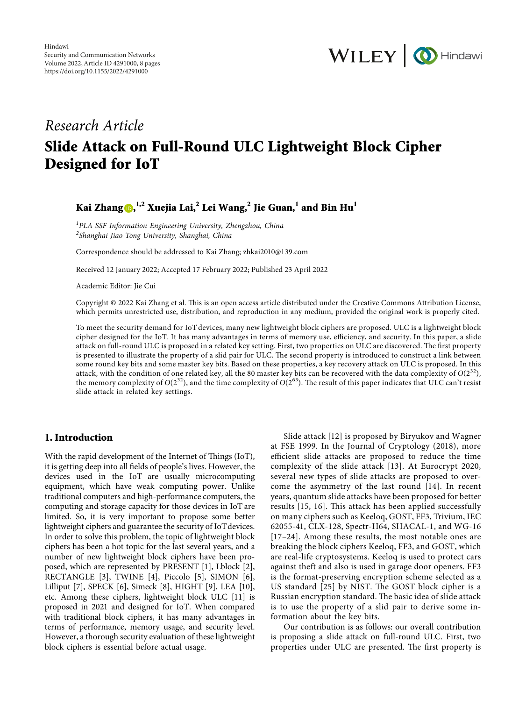

# *Research Article*

# **Slide Attack on Full-Round ULC Lightweight Block Cipher Designed for IoT**

# **Kai Zhang , 1,2 Xuejia Lai,<sup>2</sup> Lei Wang,2 Jie Guan,<sup>1</sup> and Bin Hu1**

*1 PLA SSF Information Engineering University, Zhengzhou, China 2 Shanghai Jiao Tong University, Shanghai, China*

Correspondence should be addressed to Kai Zhang; [zhkai2010@139.com](mailto:zhkai2010@139.com)

Received 12 January 2022; Accepted 17 February 2022; Published 23 April 2022

Academic Editor: Jie Cui

Copyright @ 2022 Kai Zhang et al. This is an open access article distributed under the [Creative Commons Attribution License](https://creativecommons.org/licenses/by/4.0/), which permits unrestricted use, distribution, and reproduction in any medium, provided the original work is properly cited.

To meet the security demand for IoT devices, many new lightweight block ciphers are proposed. ULC is a lightweight block cipher designed for the IoT. It has many advantages in terms of memory use, efficiency, and security. In this paper, a slide attack on full-round ULC is proposed in a related key setting. First, two properties on ULC are discovered. The first property is presented to illustrate the property of a slid pair for ULC. The second property is introduced to construct a link between some round key bits and some master key bits. Based on these properties, a key recovery attack on ULC is proposed. In this attack, with the condition of one related key, all the 80 master key bits can be recovered with the data complexity of  $O(2^{32})$ , the memory complexity of  $O(2^{32})$ , and the time complexity of  $O(2^{63})$ . The result of this paper indicates that ULC can't resist slide attack in related key settings.

# **1. Introduction**

With the rapid development of the Internet of Things (IoT), it is getting deep into all fields of people's lives. However, the devices used in the IoT are usually microcomputing equipment, which have weak computing power. Unlike traditional computers and high-performance computers, the computing and storage capacity for those devices in IoT are limited. So, it is very important to propose some better lightweight ciphers and guarantee the security of IoT devices. In order to solve this problem, the topic of lightweight block ciphers has been a hot topic for the last several years, and a number of new lightweight block ciphers have been proposed, which are represented by PRESENT [[1\]](#page-6-0), Lblock [[2](#page-6-0)], RECTANGLE [\[3](#page-6-0)], TWINE [\[4\]](#page-6-0), Piccolo [\[5\]](#page-6-0), SIMON [[6](#page-6-0)], Lilliput [[7\]](#page-6-0), SPECK [[6](#page-6-0)], Simeck [[8\]](#page-6-0), HIGHT [\[9\]](#page-6-0), LEA [\[10](#page-6-0)], etc. Among these ciphers, lightweight block ULC [[11\]](#page-6-0) is proposed in 2021 and designed for IoT. When compared with traditional block ciphers, it has many advantages in terms of performance, memory usage, and security level. However, a thorough security evaluation of these lightweight block ciphers is essential before actual usage.

Slide attack [[12\]](#page-6-0) is proposed by Biryukov and Wagner at FSE 1999. In the Journal of Cryptology (2018), more efficient slide attacks are proposed to reduce the time complexity of the slide attack [[13\]](#page-6-0). At Eurocrypt 2020, several new types of slide attacks are proposed to overcome the asymmetry of the last round [[14\]](#page-6-0). In recent years, quantum slide attacks have been proposed for better results [[15, 16](#page-6-0)]. This attack has been applied successfully on many ciphers such as Keeloq, GOST, FF3, Trivium, IEC 62055-41, CLX-128, Spectr-H64, SHACAL-1, and WG-16 [[17](#page-6-0)[–24](#page-7-0)]. Among these results, the most notable ones are breaking the block ciphers Keeloq, FF3, and GOST, which are real-life cryptosystems. Keeloq is used to protect cars against theft and also is used in garage door openers. FF3 is the format-preserving encryption scheme selected as a US standard [[25](#page-7-0)] by NIST. The GOST block cipher is a Russian encryption standard. The basic idea of slide attack is to use the property of a slid pair to derive some information about the key bits.

Our contribution is as follows: our overall contribution is proposing a slide attack on full-round ULC. First, two properties under ULC are presented. The first property is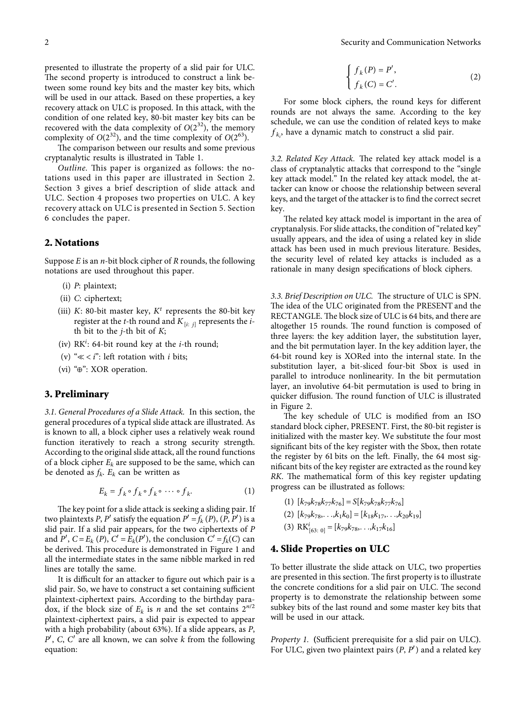<span id="page-1-0"></span>presented to illustrate the property of a slid pair for ULC. The second property is introduced to construct a link between some round key bits and the master key bits, which will be used in our attack. Based on these properties, a key recovery attack on ULC is proposed. In this attack, with the condition of one related key, 80-bit master key bits can be recovered with the data complexity of  $O(2^{32})$ , the memory complexity of  $O(2^{32})$ , and the time complexity of  $O(2^{63})$ .

The comparison between our results and some previous cryptanalytic results is illustrated in Table [1.](#page--1-0)

*Outline*. This paper is organized as follows: the notations used in this paper are illustrated in Section 2. Section 3 gives a brief description of slide attack and ULC. Section 4 proposes two properties on ULC. A key recovery attack on ULC is presented in Section [5](#page-5-0). Section [6](#page-6-0) concludes the paper.

## **2. Notations**

Suppose *E* is an *n*-bit block cipher of *R* rounds, the following notations are used throughout this paper.

- (i) *P*: plaintext;
- (ii) *C*: ciphertext;
- (iii) *K*: 80-bit master key, *K<sup>t</sup>* represents the 80-bit key register at the *t*-th round and  $K_{[i:j]}$  represents the *i*th bit to the *j*-th bit of *K*;
- (iv) RK*<sup>i</sup>* : 64-bit round key at the *i*-th round;
- (v) "≪ < *i*": left rotation with *i* bits;
- (vi) "⊕": XOR operation.

## **3. Preliminary**

*3.1. General Procedures of a Slide Attack.* In this section, the general procedures of a typical slide attack are illustrated. As is known to all, a block cipher uses a relatively weak round function iteratively to reach a strong security strength. According to the original slide attack, all the round functions of a block cipher  $E_k$  are supposed to be the same, which can be denoted as  $f_k$ .  $E_k$  can be written as

$$
E_k = f_k \circ f_k \circ f_k \circ \cdots \circ f_k. \tag{1}
$$

The key point for a slide attack is seeking a sliding pair. If two plaintexts *P*, *P'* satisfy the equation  $P' = f_k(P)$ ,  $(P, P')$  is a slid pair. If a slid pair appears, for the two ciphertexts of *P* and  $P'$ ,  $C = E_k(P)$ ,  $C' = E_k(P')$ , the conclusion  $C' = f_k(C)$  can be derived. This procedure is demonstrated in Figure [1](#page--1-0) and all the intermediate states in the same nibble marked in red lines are totally the same.

It is difficult for an attacker to figure out which pair is a slid pair. So, we have to construct a set containing sufficient plaintext-ciphertext pairs. According to the birthday paradox, if the block size of  $E_k$  is *n* and the set contains  $2^{n/2}$ plaintext-ciphertext pairs, a slid pair is expected to appear with a high probability (about 63%). If a slide appears, as *P*, *P*′, *C*, *C*′ are all known, we can solve *k* from the following equation:

$$
\begin{cases}\nf_k(P) = P', \\
f_k(C) = C'.\n\end{cases}
$$
\n(2)

For some block ciphers, the round keys for different rounds are not always the same. According to the key schedule, we can use the condition of related keys to make  $f_{k_i}$ , have a dynamic match to construct a slid pair.

3.2. Related Key Attack. The related key attack model is a class of cryptanalytic attacks that correspond to the "single key attack model." In the related key attack model, the attacker can know or choose the relationship between several keys, and the target of the attacker is to find the correct secret key.

The related key attack model is important in the area of cryptanalysis. For slide attacks, the condition of "related key" usually appears, and the idea of using a related key in slide attack has been used in much previous literature. Besides, the security level of related key attacks is included as a rationale in many design specifications of block ciphers.

*3.3. Brief Description on ULC.* The structure of ULC is SPN. The idea of the ULC originated from the PRESENT and the RECTANGLE. The block size of ULC is 64 bits, and there are altogether 15 rounds. The round function is composed of three layers: the key addition layer, the substitution layer, and the bit permutation layer. In the key addition layer, the 64-bit round key is XORed into the internal state. In the substitution layer, a bit-sliced four-bit Sbox is used in parallel to introduce nonlinearity. In the bit permutation layer, an involutive 64-bit permutation is used to bring in quicker diffusion. The round function of ULC is illustrated in Figure [2](#page--1-0).

The key schedule of ULC is modified from an ISO standard block cipher, PRESENT. First, the 80-bit register is initialized with the master key. We substitute the four most significant bits of the key register with the Sbox, then rotate the register by 61 bits on the left. Finally, the 64 most significant bits of the key register are extracted as the round key *RK*. The mathematical form of this key register updating progress can be illustrated as follows:

- $(1)$   $[k_{79}k_{78}k_{77}k_{76}] = S[k_{79}k_{78}k_{77}k_{76}]$
- $(2)$   $[k_{79}k_{78}, \ldots, k_{1}k_{0}] = [k_{18}k_{17}, \ldots, k_{20}k_{19}]$
- (3)  $\text{RK}_{[63: 0]}^i = [k_{79}k_{78}, \ldots, k_{17}k_{16}]$

#### **4. Slide Properties on ULC**

To better illustrate the slide attack on ULC, two properties are presented in this section. The first property is to illustrate the concrete conditions for a slid pair on ULC. The second property is to demonstrate the relationship between some subkey bits of the last round and some master key bits that will be used in our attack.

*Property 1.* **(**Sufficient prerequisite for a slid pair on ULC**)**. For ULC, given two plaintext pairs (*P*, *P*′) and a related key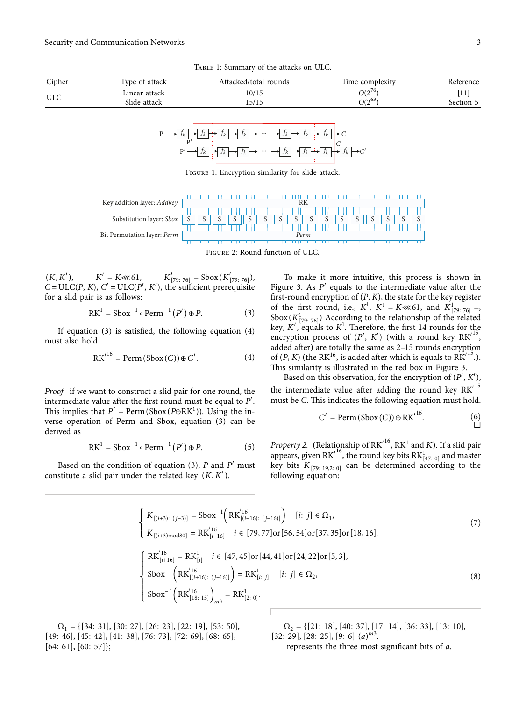Table 1: Summary of the attacks on ULC.





Figure 1: Encryption similarity for slide attack.

Key addition layer: *Addkey*  $\frac{RK}{\prod \prod \prod}$  $1111 - 1111$ Substitution layer: *Sbox* S S S S S S S S S S S S S S S S 11 I I I I I Bit Permutation layer: *Perm Perm*

Figure 2: Round function of ULC.

 $(K, K'),$   $K' = K \ll 61,$   $K'_{[79:76]} = \text{Sbox}(K'_{[79:76]}),$  $C = \text{ULC}(P, K), C' = \text{ULC}(P', K')$ , the sufficient prerequisite for a slid pair is as follows:

$$
RK1 = Sbox-1 \circ Perm-1 (P') \oplus P.
$$
 (3)

If equation  $(3)$  $(3)$  is satisfied, the following equation  $(4)$  $(4)$ must also hold

$$
RK'^{16} = Perm(Sbox(C)) \oplus C'. \tag{4}
$$

Proof. if we want to construct a slid pair for one round, the intermediate value after the first round must be equal to  $P'$ . This implies that  $P' = \text{Perm}(\text{Sbox}(P \oplus \text{RK}^1))$ . Using the inverse operation of Perm and Sbox, equation ([3](#page--1-0)) can be derived as

$$
RK1 = Sbox-1 \circ Perm-1 (P') \oplus P.
$$
 (5)

 $Sbox^{-1} (RK<sup>'16</sup><sub>[18: 15]</sub>)<sub>m3</sub>$ 

 $= R K<sub>1</sub><sup>1</sup>$ [2: <sup>0</sup>]*.*

Based on the condition of equation [\(3\)](#page--1-0),  $P$  and  $P'$  must constitute a slid pair under the related key (*K, K*′).

> $\int$  $\overline{\phantom{a}}$

To make it more intuitive, this process is shown in Figure [3.](#page--1-0) As  $P'$  equals to the intermediate value after the first-round encryption of  $(P, K)$ , the state for the key register of the first round, i.e.,  $K^1$ ,  $K^1 = K \ll 61$ , and  $K^1_{[79:76]} =$ Sbox $(K^1_{[79:76]})$  According to the relationship of the related key,  $K'$ , equals to  $K^1$ . Therefore, the first 14 rounds for the encryption process of  $(P', K')$  (with a round key  $\text{RK'}^{15}$ , added after) are totally the same as 2–15 rounds encryption of  $(P, K)$  (the RK<sup>16</sup>, is added after which is equals to RK<sup> $115$ </sup>.). This similarity is illustrated in the red box in Figure [3](#page--1-0).

Based on this observation, for the encryption of  $(P', K')$ , the intermediate value after adding the round key  $\overline{RK'}^{15}$ must be C. This indicates the following equation must hold.

$$
C' = \text{Perm}(\text{Sbox}(C)) \oplus \text{RK'}^{16}.\tag{6}
$$

*Property 2.* (Relationship of  $\mathrm{RK'}^{16}$ ,  $\mathrm{RK}^{1}$  and K). If a slid pair appears, given  $\text{RK}^{16}$ , the round key bits  $\text{RK}^{1}_{[47;\ 0]}$  and master key bits  $K_{[79; 19,2; 0]}$  can be determined according to the following equation:

$$
\begin{cases}\nK_{[(i+3):(j+3)]} = \text{Sbox}^{-1}\Big(RK_{[(i-16):(j-16)]}^{'16}\Big) & [i: j] \in \Omega_1, \\
K_{[(i+3) \text{mod} 80]} = RK_{[i-16]}^{'16} & i \in [79, 77] \text{or} [56, 54] \text{or} [37, 35] \text{or} [18, 16].\n\end{cases}
$$
\n
$$
\begin{cases}\nRK_{[i+16]}^{'16} = RK_{[i]}^1 & i \in [47, 45] \text{or} [44, 41] \text{or} [24, 22] \text{or} [5, 3], \\
\text{Sbox}^{-1}\Big(RK_{[(i+16):(j+16)]}^{'16}\Big) = RK_{[i: j]}^1 & [i: j] \in \Omega_2, \\
\text{Sbox}^{-1}\Big(RK_{[18: 15]}^{'16}\Big)_{\text{max}} = RK_{[2: 0]}^1.\n\end{cases}
$$
\n(8)

Ω<sup>1</sup> [{ 34: 31]*,* [30: 27]*,* [26: 23]*,* [22: 19]*,* [53: 50]*,* [49: 46]*,* [45: 42]*,* [41: 38]*,* [76: 73]*,* [72: 69]*,* [68: 65]*,* [64: 61]*,* [60: 57]};

Ω<sup>2</sup> [{ 21: 18]*,* [40: 37]*,* [17: 14]*,* [36: 33]*,* [13: 10]*,* [32: 29], [28: 25], [9: 6]  $(a)^{m3}$ . represents the three most significant bits of a.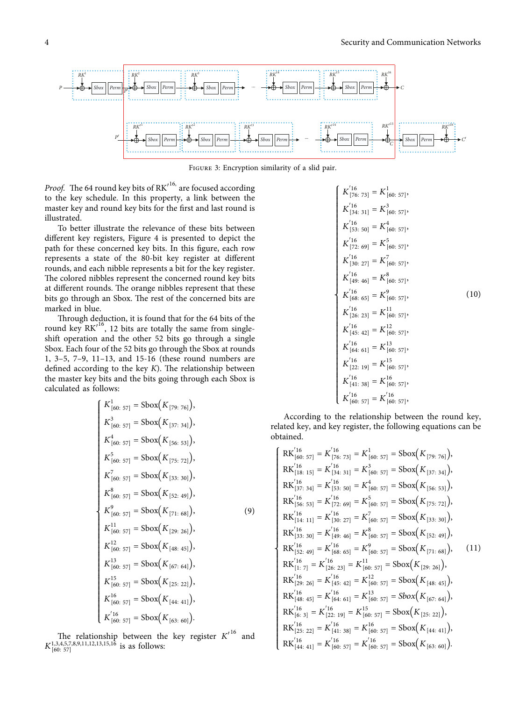

Figure 3: Encryption similarity of a slid pair.

Proof. The 64 round key bits of RK<sup>116,</sup> are focused according to the key schedule. In this property, a link between the master key and round key bits for the first and last round is illustrated.

To better illustrate the relevance of these bits between different key registers, Figure [4](#page--1-0) is presented to depict the path for these concerned key bits. In this figure, each row represents a state of the 80-bit key register at different rounds, and each nibble represents a bit for the key register. The colored nibbles represent the concerned round key bits at different rounds. The orange nibbles represent that these bits go through an Sbox. The rest of the concerned bits are marked in blue.

Through deduction, it is found that for the 64 bits of the round key  $\overline{RK'}^{16}$ , 12 bits are totally the same from singleshift operation and the other 52 bits go through a single Sbox. Each four of the 52 bits go through the Sbox at rounds 1, 3–5, 7–9, 11–13, and 15-16 (these round numbers are defined according to the key  $K$ ). The relationship between the master key bits and the bits going through each Sbox is calculated as follows:

$$
K_{[60: 57]}^{1} = \text{Sbox}(K_{[79: 76]}),
$$
\n
$$
K_{[60: 57]}^{3} = \text{Sbox}(K_{[37: 34]}),
$$
\n
$$
K_{[60: 57]}^{4} = \text{Sbox}(K_{[56: 53]}),
$$
\n
$$
K_{[60: 57]}^{5} = \text{Sbox}(K_{[75: 72]}),
$$
\n
$$
K_{[60: 57]}^{7} = \text{Sbox}(K_{[33: 30]}),
$$
\n
$$
K_{[60: 57]}^{8} = \text{Sbox}(K_{[52: 49]}),
$$
\n
$$
K_{[60: 57]}^{9} = \text{Sbox}(K_{[71: 68]}),
$$
\n
$$
K_{[60: 57]}^{1} = \text{Sbox}(K_{[71: 68]}),
$$
\n
$$
K_{[60: 57]}^{12} = \text{Sbox}(K_{[29: 26]}),
$$
\n
$$
K_{[60: 57]}^{13} = \text{Sbox}(K_{[48: 45]}),
$$
\n
$$
K_{[60: 57]}^{15} = \text{Sbox}(K_{[67: 64]}),
$$
\n
$$
K_{[60: 57]}^{16} = \text{Sbox}(K_{[25: 22]}),
$$
\n
$$
K_{[60: 57]}^{16} = \text{Sbox}(K_{[44: 41]}),
$$
\n
$$
K_{[60: 57]}^{7} = \text{Sbox}(K_{[63: 60]}).
$$

e relationship between the key register *K*′ and  $K_{[60:57]}^{1,3,4,5,7,8,9,11,12,13,15,16}$  is as follows:

$$
K_{[76.73]}^{16} = K_{[60.57]}^{1},
$$
\n
$$
K_{[34:31]}^{16} = K_{[60.57]}^{3},
$$
\n
$$
K_{[53:50]}^{16} = K_{[60.57]}^{4},
$$
\n
$$
K_{[72:69]}^{16} = K_{[60:57]}^{5},
$$
\n
$$
K_{[72:69]}^{16} = K_{[60:57]}^{7},
$$
\n
$$
K_{[49:46]}^{16} = K_{[60:57]}^{8},
$$
\n
$$
K_{[49:46]}^{16} = K_{[60:57]}^{8},
$$
\n
$$
K_{[68:65]}^{16} = K_{[60:57]}^{9},
$$
\n
$$
K_{[26:23]}^{16} = K_{[160:57]}^{12},
$$
\n
$$
K_{[64:61]}^{16} = K_{[60:57]}^{12},
$$
\n
$$
K_{[64:61]}^{16} = K_{[60:57]}^{15},
$$
\n
$$
K_{[22:19]}^{16} = K_{[60:57]}^{16},
$$
\n
$$
K_{[41:38]}^{16} = K_{[60:57]}^{16},
$$
\n
$$
K_{[60:57]}^{16} = K_{[60:57]}^{16},
$$
\n
$$
K_{[60:57]}^{16} = K_{[60:57]}^{16},
$$

According to the relationship between the round key, related key, and key register, the following equations can be obtained.

$$
\begin{cases}\nR K'_{[60:57]}^{16} = K'_{[76:73]} = K'_{[60:57]} = \text{Sbox}\big(K_{[79:76]}\big), \\
R K'_{[18:15]}^{16} = K'_{[34:31]} = K^3_{[60:57]} = \text{Sbox}\big(K_{[37:34]}\big), \\
R K'_{[37:34]}^{16} = K'_{[15:50]} = K^4_{[60:57]} = \text{Sbox}\big(K_{[56:53]}\big), \\
R K'_{[56:53]}^{16} = K'_{[72:69]} = K^5_{[60:57]} = \text{Sbox}\big(K_{[75:72]}\big), \\
R K'_{[14:11]}^{16} = K'_{[30:27]} = K^7_{[60:57]} = \text{Sbox}\big(K_{[33:30]}\big), \\
R K'^{16}_{[14:11]} = K'_{[30:27]} = K^7_{[60:57]} = \text{Sbox}\big(K_{[52:49]}\big), \\
R K'^{16}_{[33:30]} = K'_{[49:46]} = K^8_{[60:57]} = \text{Sbox}\big(K_{[52:49]}\big), \\
R K'^{16}_{[52:49]} = K'_{[16:65]} = K^9_{[60:57]} = \text{Sbox}\big(K_{[71:68]}\big), \\
R K'^{16}_{[1:7]} = K'^{16}_{[26:23]} = K^{11}_{[60:57]} = \text{Sbox}\big(K_{[29:26]}\big), \\
R K'^{16}_{[29:26]} = K'^{16}_{[45:42]} = K^{12}_{[60:57]} = \text{Sbox}\big(K_{[48:45]}\big), \\
R K'^{16}_{[48:45]} = K'^{16}_{[64:61]} = K^{13}_{[60:57]} = \text{Sbox}\big(K_{[52:22]}\big), \\
R K'^{16}_{[18:3]} = K'^{16}_{[14:38]} = K^{16}_{[60:57]} = \text{Sbox}\big(K_{[14:41]}\big), \\
R K'^{16}_{[25:22]} = K'^{16}_{[14:38]} = K'^{16}_{[60:57
$$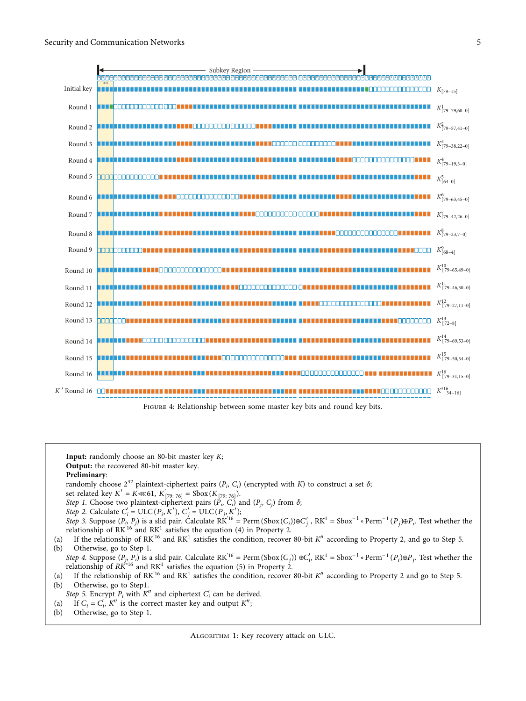

FIGURE 4: Relationship between some master key bits and round key bits.

**Input:** randomly choose an 80-bit master key K; **Output:** the recovered 80-bit master key.

# **Preliminary**:

randomly choose  $2^{32}$  plaintext-ciphertext pairs  $(P_i, C_i)$  (encrypted with K) to construct a set  $\delta$ ;

- set related key  $K' = K \ll 61, K'_{[79:76]} = \text{Sbox}(K_{[79:76]}).$
- Step 1. Choose two plaintext-ciphertext pairs  $(P_i, C_i)$  and  $(P_j, C_j)$  from  $\delta$ ;

*Step 2.* Calculate  $C_i' = \text{ULC}(P_i, K'), C_j' = \text{ULC}(P_j, K');$ 

Step 3. Suppose  $(P_i, P_j)$  is a slid pair. Calculate RK<sup>'16</sup> = Perm (Sbox(*C<sub>i</sub>*))⊕*C'<sub>j</sub>*</sub>, RK<sup>1</sup> = Sbox<sup>-1</sup> ∘ Perm<sup>-1</sup>(*P<sub>j</sub>*)⊕*P<sub>i</sub>*. Test whether the relationship of  $RK^{16}$  and  $RK^{1}$  satisfies the equation [\(4\)](#page--1-0) in Property [2](#page--1-0).

(a) If the relationship of  $RK^{16}$  and  $RK^1$  satisfies the condition, recover 80-bit  $K''$  according to Property [2](#page--1-0), and go to Step 5.<br>(b) Otherwise, go to Step 1. Otherwise, go to Step 1.

Step 4. Suppose  $(P_j, P_i)$  is a slid pair. Calculate RK<sup>'16</sup> = Perm(Sbox(*C<sub>j</sub>*)) ⊕*C'<sub>i</sub>*, RK<sup>1</sup> = Sbox<sup>-1</sup> ∘ Perm<sup>-1</sup>(*P<sub>i</sub>*)⊕*P<sub>j</sub>*. Test whether the relationship of  $RK^{16}$  and  $RK^{1}$  satisfies the equation ([5](#page--1-0)) in Property [2](#page--1-0).

(a) If the relationship of  $RK^{16}$  and  $RK^1$  satisfies the condition, recover 80-bit  $K''$  according to Property [2](#page--1-0) and go to Step 5.<br>(b) Otherwise, go to Step 1. Otherwise, go to Step1.

Step 5. Encrypt  $P_i$  with  $K''$  and ciphertext  $C'_i$  can be derived.

- (a) If  $C_i = C'_i$ ,  $K''$  is the correct master key and output  $K''$ ;
- (b) Otherwise, go to Step 1.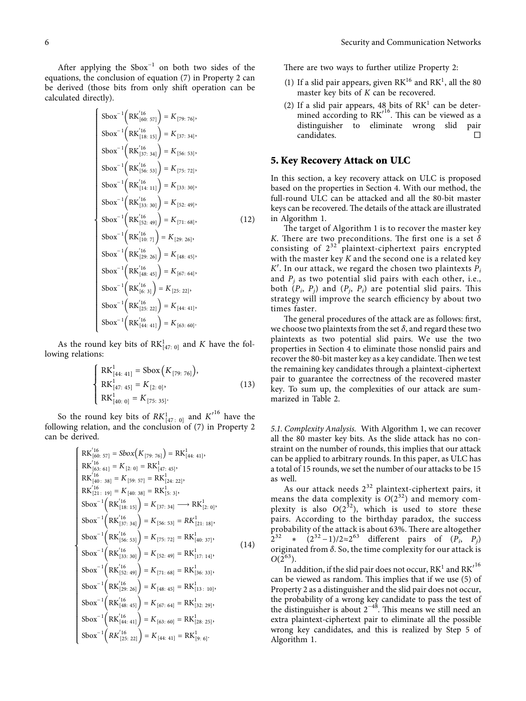<span id="page-5-0"></span>After applying the  $Sbox^{-1}$  on both two sides of the equations, the conclusion of equation [\(7](#page--1-0)) in Property [2](#page--1-0) can be derived (those bits from only shift operation can be calculated directly).

$$
\begin{cases}\n\text{Sbox}^{-1}\left(RK_{[60:57]}^{16}\right) = K_{[79:76]},\\ \text{Sbox}^{-1}\left(RK_{[18:15]}^{16}\right) = K_{[37:34]},\\ \text{Sbox}^{-1}\left(RK_{[18:15]}^{16}\right) = K_{[56:53]},\\ \text{Sbox}^{-1}\left(RK_{[56:53]}^{16}\right) = K_{[56:53]},\\ \text{Sbox}^{-1}\left(RK_{[14:11]}^{16}\right) = K_{[75:72]},\\ \text{Sbox}^{-1}\left(RK_{[14:11]}^{16}\right) = K_{[33:30]},\\ \text{Sbox}^{-1}\left(RK_{[33:30]}^{16}\right) = K_{[52:49]},\\ \text{Sbox}^{-1}\left(RK_{[52:49]}^{16}\right) = K_{[71:68]},\\ \text{Sbox}^{-1}\left(RK_{[10:7]}^{16}\right) = K_{[29:26]},\\ \text{Sbox}^{-1}\left(RK_{[10:7]}^{16}\right) = K_{[48:45]},\\ \text{Sbox}^{-1}\left(RK_{[48:45]}^{16}\right) = K_{[67:64]},\\ \text{Sbox}^{-1}\left(RK_{[6:3]}^{16}\right) = K_{[25:22]},\\ \text{Sbox}^{-1}\left(RK_{[53:22]}^{16}\right) = K_{[14:41]},\\ \text{Sbox}^{-1}\left(RK_{[25:22]}^{16}\right) = K_{[44:41]},\\ \text{Sbox}^{-1}\left(RK_{[44:41]}^{16}\right) = K_{[63:60]}.\n\end{cases}
$$

As the round key bits of  $RK^1_{[47;\ 0]}$  and *K* have the following relations:

$$
\begin{cases}\n\text{RK}_{[44:41]}^1 = \text{Sbox}\left(K_{[79:76]}\right), \\
\text{RK}_{[47:45]}^1 = K_{[2:0]}, \\
\text{RK}_{[40:0]}^1 = K_{[75:35]}.\n\end{cases}
$$
\n(13)

So the round key bits of  $RK^1_{[47;\ 0]}$  and  $K'^{16}$  have the following relation, and the conclusion of ([7\)](#page--1-0) in Property [2](#page--1-0) can be derived.

$$
\begin{cases}\n\text{RK}_{[60:57]}^{16} = Sbox(K_{[79:76]}) = \text{RK}_{[44:41]}^{1}, \\
\text{RK}_{[63:61]}^{16} = K_{[2:0]} = \text{RK}_{[47:45]}^{1}, \\
\text{RK}_{[40:38]}^{16} = K_{[59:57]} = \text{RK}_{[24:22]}^{1}, \\
\text{RK}_{[21:19]}^{16} = K_{[40:38]} = \text{RK}_{[5:3]}^{1}, \\
\text{Sbox}^{-1} \left( \text{RK}_{[18:15]}^{16} \right) = K_{[37:34]} \longrightarrow \text{RK}_{[2:0]}^{1}, \\
\text{Sbox}^{-1} \left( \text{RK}_{[37:34]}^{16} \right) = K_{[56:53]} = \text{RK}_{[40:37]}^{1}, \\
\text{Sbox}^{-1} \left( \text{RK}_{[56:53]}^{16} \right) = K_{[75:72]} = \text{RK}_{[40:37]}^{1}, \\
\text{Sbox}^{-1} \left( \text{RK}_{[56:53]}^{16} \right) = K_{[75:72]} = \text{RK}_{[40:37]}^{1}, \\
\text{Sbox}^{-1} \left( \text{RK}_{[33:30]}^{16} \right) = K_{[52:49]} = \text{RK}_{[17:14]}^{1}, \\
\text{Sbox}^{-1} \left( \text{RK}_{[29:26]}^{16} \right) = K_{[71:68]} = \text{RK}_{[36:33]}^{1}, \\
\text{Sbox}^{-1} \left( \text{RK}_{[42:29]}^{16} \right) = K_{[48:45]} = \text{RK}_{[32:29]}^{1}, \\
\text{Sbox}^{-1} \left( \text{RK}_{[48:45]}^{16} \right) = K_{[67:64]} = \text{RK}_{[28:25]}^{1}, \\
\text{Sbox}^{-1} \left( \text{RK}_{[44:41]}^{16} \right) = K_{[63:60]} = \text{RK}_{[28:25]}^{1}, \\
\text{Sbox}^{-1} \left( \text{RK}_{[25:22]}^{16} \right) = K_{[44:41]} = \text{RK}_{[9:6]}^{1}. \end{cases}
$$

There are two ways to further utilize Property [2](#page--1-0):

- (1) If a slid pair appears, given  $RK^{16}$  and  $RK^{1}$ , all the 80 master key bits of *K* can be recovered.
- (2) If a slid pair appears, 48 bits of  $RK<sup>1</sup>$  can be determined according to  $\overline{\text{RK}'}^{16}$ . This can be viewed as a distinguisher to eliminate wrong slid pair candidates.

#### **5. Key Recovery Attack on ULC**

In this section, a key recovery attack on ULC is proposed based on the properties in Section [4.](#page-1-0) With our method, the full-round ULC can be attacked and all the 80-bit master keys can be recovered. The details of the attack are illustrated in Algorithm 1.

The target of Algorithm 1 is to recover the master key *K*. There are two preconditions. The first one is a set *δ* consisting of  $2^{32}$  plaintext-ciphertext pairs encrypted with the master key *K* and the second one is a related key  $K'$ . In our attack, we regard the chosen two plaintexts  $P_i$ and  $P_i$  as two potential slid pairs with each other, i.e., both  $(P_i, P_j)$  and  $(P_i, P_j)$  are potential slid pairs. This strategy will improve the search efficiency by about two times faster.

The general procedures of the attack are as follows: first, we choose two plaintexts from the set  $\delta$ , and regard these two plaintexts as two potential slid pairs. We use the two properties in Section [4](#page-1-0) to eliminate those nonslid pairs and recover the 80-bit master key as a key candidate. Then we test the remaining key candidates through a plaintext-ciphertext pair to guarantee the correctness of the recovered master key. To sum up, the complexities of our attack are summarized in Table [2.](#page-6-0)

*5.1. Complexity Analysis.* With Algorithm 1, we can recover all the 80 master key bits. As the slide attack has no constraint on the number of rounds, this implies that our attack can be applied to arbitrary rounds. In this paper, as ULC has a total of 15 rounds, we set the number of our attacks to be 15 as well.

As our attack needs  $2^{32}$  plaintext-ciphertext pairs, it means the data complexity is  $O(2^{32})$  and memory complexity is also  $O(2^{32})$ , which is used to store these pairs. According to the birthday paradox, the success probability of the attack is about  $63\%$ . There are altogether  $2^{32}$  \* ( $2^{32}$  −1)/2≈2<sup>63</sup> different pairs of ( $\tilde{P_i}$ ,  $P_j$ ) originated from *δ*. So, the time complexity for our attack is  $O(2^{63})$ .

In addition, if the slid pair does not occur,  $\mathbf{R}\mathbf{K}^1$  and  $\mathbf{R}\mathbf{K'}^{16}$ can be viewed as random. This implies that if we use [\(5\)](#page--1-0) of Property [2](#page--1-0) as a distinguisher and the slid pair does not occur, the probability of a wrong key candidate to pass the test of the distinguisher is about  $2^{-48}$ . This means we still need an extra plaintext-ciphertext pair to eliminate all the possible wrong key candidates, and this is realized by Step 5 of Algorithm 1.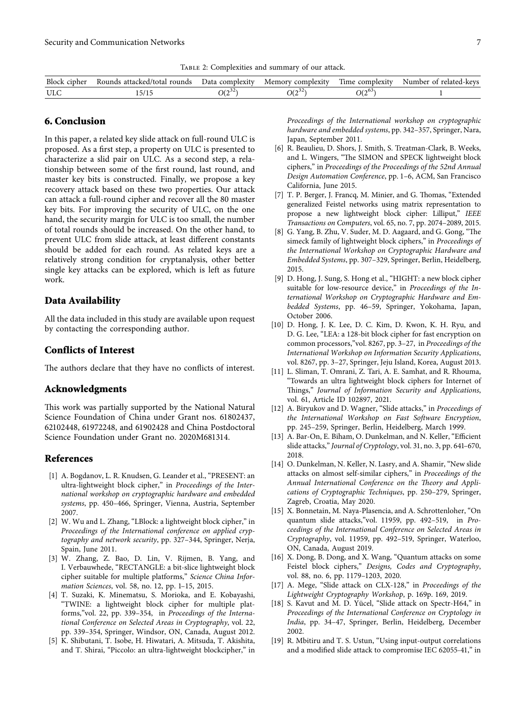Table 2: Complexities and summary of our attack.

<span id="page-6-0"></span>

| Block<br>. cipher | rounds<br>attacked/total<br>Rounds | . complexity<br>⊅ata | complexity<br>Memory      | $-$<br>complexity<br>l'ime | -kevs<br>related-<br>Number<br>Ωt |
|-------------------|------------------------------------|----------------------|---------------------------|----------------------------|-----------------------------------|
| $x + r$<br>ULU    | $-11$<br>231 '                     | $O(2^{32})$          | $\bigcap_{\alpha}$<br>IJΣ | $O(2^{\circ\circ})$        |                                   |

# **6. Conclusion**

In this paper, a related key slide attack on full-round ULC is proposed. As a first step, a property on ULC is presented to characterize a slid pair on ULC. As a second step, a relationship between some of the first round, last round, and master key bits is constructed. Finally, we propose a key recovery attack based on these two properties. Our attack can attack a full-round cipher and recover all the 80 master key bits. For improving the security of ULC, on the one hand, the security margin for ULC is too small, the number of total rounds should be increased. On the other hand, to prevent ULC from slide attack, at least different constants should be added for each round. As related keys are a relatively strong condition for cryptanalysis, other better single key attacks can be explored, which is left as future work.

#### **Data Availability**

All the data included in this study are available upon request by contacting the corresponding author.

### **Conflicts of Interest**

The authors declare that they have no conflicts of interest.

#### **Acknowledgments**

This work was partially supported by the National Natural Science Foundation of China under Grant nos. 61802437, 62102448, 61972248, and 61902428 and China Postdoctoral Science Foundation under Grant no. 2020M681314.

# **References**

- [1] A. Bogdanov, L. R. Knudsen, G. Leander et al., "PRESENT: an ultra-lightweight block cipher," in *Proceedings of the International workshop on cryptographic hardware and embedded systems*, pp. 450–466, Springer, Vienna, Austria, September 2007.
- [2] W. Wu and L. Zhang, "LBlock: a lightweight block cipher," in *Proceedings of the International conference on applied cryptography and network security*, pp. 327–344, Springer, Nerja, Spain, June 2011.
- [3] W. Zhang, Z. Bao, D. Lin, V. Rijmen, B. Yang, and I. Verbauwhede, "RECTANGLE: a bit-slice lightweight block cipher suitable for multiple platforms," *Science China Information Sciences*, vol. 58, no. 12, pp. 1–15, 2015.
- [4] T. Suzaki, K. Minematsu, S. Morioka, and E. Kobayashi, "TWINE: a lightweight block cipher for multiple platforms,"vol. 22, pp. 339–354, in *Proceedings of the International Conference on Selected Areas in Cryptography*, vol. 22, pp. 339–354, Springer, Windsor, ON, Canada, August 2012.
- [5] K. Shibutani, T. Isobe, H. Hiwatari, A. Mitsuda, T. Akishita, and T. Shirai, "Piccolo: an ultra-lightweight blockcipher," in

*Proceedings of the International workshop on cryptographic hardware and embedded systems*, pp. 342–357, Springer, Nara, Japan, September 2011.

- [6] R. Beaulieu, D. Shors, J. Smith, S. Treatman-Clark, B. Weeks, and L. Wingers, "The SIMON and SPECK lightweight block ciphers," in *Proceedings of the Proceedings of the 52nd Annual Design Automation Conference*, pp. 1–6, ACM, San Francisco California, June 2015.
- [7] T. P. Berger, J. Francq, M. Minier, and G. Thomas, "Extended generalized Feistel networks using matrix representation to propose a new lightweight block cipher: Lilliput," *IEEE Transactions on Computers*, vol. 65, no. 7, pp. 2074–2089, 2015.
- [8] G. Yang, B. Zhu, V. Suder, M. D. Aagaard, and G. Gong, "The simeck family of lightweight block ciphers," in *Proceedings of the International Workshop on Cryptographic Hardware and Embedded Systems*, pp. 307–329, Springer, Berlin, Heidelberg, 2015.
- [9] D. Hong, J. Sung, S. Hong et al., "HIGHT: a new block cipher suitable for low-resource device," in *Proceedings of the International Workshop on Cryptographic Hardware and Embedded Systems*, pp. 46–59, Springer, Yokohama, Japan, October 2006.
- [10] D. Hong, J. K. Lee, D. C. Kim, D. Kwon, K. H. Ryu, and D. G. Lee, "LEA: a 128-bit block cipher for fast encryption on common processors,"vol. 8267, pp. 3–27, in *Proceedings of the International Workshop on Information Security Applications*, vol. 8267, pp. 3–27, Springer, Jeju Island, Korea, August 2013.
- [11] L. Sliman, T. Omrani, Z. Tari, A. E. Samhat, and R. Rhouma, "Towards an ultra lightweight block ciphers for Internet of Things," Journal of Information Security and Applications, vol. 61, Article ID 102897, 2021.
- [12] A. Biryukov and D. Wagner, "Slide attacks," in *Proceedings of the International Workshop on Fast Software Encryption*, pp. 245–259, Springer, Berlin, Heidelberg, March 1999.
- [13] A. Bar-On, E. Biham, O. Dunkelman, and N. Keller, "Efficient slide attacks," *Journal of Cryptology*, vol. 31, no. 3, pp. 641–670, 2018.
- [14] O. Dunkelman, N. Keller, N. Lasry, and A. Shamir, "New slide attacks on almost self-similar ciphers," in *Proceedings of the* Annual International Conference on the Theory and Appli*cations of Cryptographic Techniques*, pp. 250–279, Springer, Zagreb, Croatia, May 2020.
- [15] X. Bonnetain, M. Naya-Plasencia, and A. Schrottenloher, "On quantum slide attacks,"vol. 11959, pp. 492–519, in *Proceedings of the International Conference on Selected Areas in Cryptography*, vol. 11959, pp. 492–519, Springer, Waterloo, ON, Canada, August 2019.
- [16] X. Dong, B. Dong, and X. Wang, "Quantum attacks on some Feistel block ciphers," *Designs, Codes and Cryptography*, vol. 88, no. 6, pp. 1179–1203, 2020.
- [17] A. Mege, "Slide attack on CLX-128," in *Proceedings of the Lightweight Cryptography Workshop*, p. 169p. 169, 2019.
- [18] S. Kavut and M. D. Yücel, "Slide attack on Spectr-H64," in *Proceedings of the International Conference on Cryptology in India*, pp. 34–47, Springer, Berlin, Heidelberg, December 2002.
- [19] R. Mbitiru and T. S. Ustun, "Using input-output correlations and a modified slide attack to compromise IEC 62055-41," in